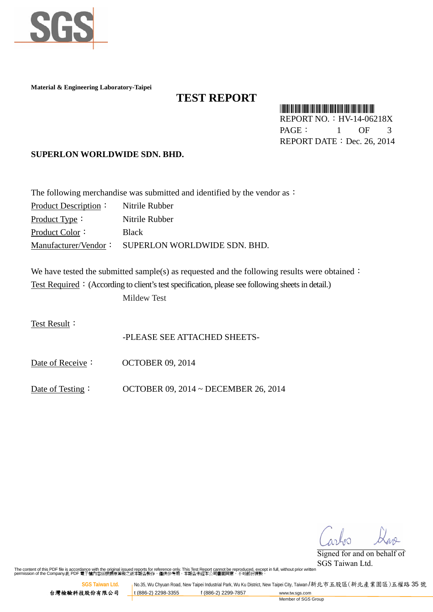

**Material & Engineering Laboratory-Taipei**

## **TEST REPORT**

\*HV-14-06218X\* REPORT NO.:HV-14-06218X

PAGE: 1 OF 3 REPORT DATE: Dec. 26, 2014

**SUPERLON WORLDWIDE SDN. BHD.**

| The following merchandise was submitted and identified by the vendor as $\cdot$ |                                                   |  |
|---------------------------------------------------------------------------------|---------------------------------------------------|--|
| Product Description:                                                            | Nitrile Rubber                                    |  |
| Product Type:                                                                   | Nitrile Rubber                                    |  |
| Product Color:                                                                  | <b>Black</b>                                      |  |
|                                                                                 | Manufacturer/Vendor: SUPERLON WORLDWIDE SDN. BHD. |  |

We have tested the submitted sample(s) as requested and the following results were obtained: Test Required: (According to client's test specification, please see following sheets in detail.) Mildew Test

Test Result:

-PLEASE SEE ATTACHED SHEETS-

Date of Receive: OCTOBER 09, 2014

Date of Testing: OCTOBER 09, 2014 ~ DECEMBER 26, 2014

**Signed for and on behalf of**  $\int$ ank

Signed for and on behalf of SGS Taiwan Ltd.

The content of this PDF file is accordance with the original issued reports for reference only. This Test Report cannot be reproduced, except in full, without prior written<br>permission of the Company.此 PDF 電子檔內容係根據原簽發之紙本報告

**SGS Taiwan Ltd. No.35, Wu Chyuan Road, New Taipei Industrial Park, Wu Ku District, New Taipei City, Taiwan /新北市五股區(新北產業園區)五權路 35 號** 台灣檢驗科技股份有限公司 <mark>\_t (886-2) 2298-3355 f (886-2) 2299-7857 www.tw.sgs.com</mark>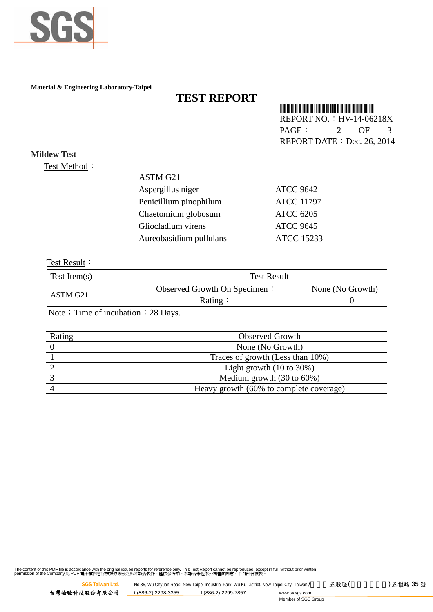

**Material & Engineering Laboratory-Taipei**

# **TEST REPORT**

### \*HV-14-06218X\*

REPORT NO.: HV-14-06218X PAGE: 2 OF 3 REPORT DATE: Dec. 26, 2014

**Mildew Test** Test Method:

#### ASTM G21

| Aspergillus niger       | <b>ATCC 9642</b>  |
|-------------------------|-------------------|
| Penicillium pinophilum  | <b>ATCC 11797</b> |
| Chaetomium globosum     | <b>ATCC 6205</b>  |
| Gliocladium virens      | <b>ATCC 9645</b>  |
| Aureobasidium pullulans | <b>ATCC 15233</b> |
|                         |                   |

Test Result:

| Test Item $(s)$ | <b>Test Result</b>           |                  |
|-----------------|------------------------------|------------------|
| ASTM G21        | Observed Growth On Specimen: | None (No Growth) |
|                 | Rating:                      |                  |

Note: Time of incubation: 28 Days.

| Rating | <b>Observed Growth</b>                  |
|--------|-----------------------------------------|
|        | None (No Growth)                        |
|        | Traces of growth (Less than 10%)        |
|        | Light growth $(10 \text{ to } 30\%)$    |
|        | Medium growth $(30 \text{ to } 60\%)$   |
|        | Heavy growth (60% to complete coverage) |

The content of this PDF file is accordance with the original issued reports for reference only. This Test Report cannot be reproduced, except in full, without prior written<br>permission of the Company.此 PDF 電子檔內容係根據原簽發之紙本報告